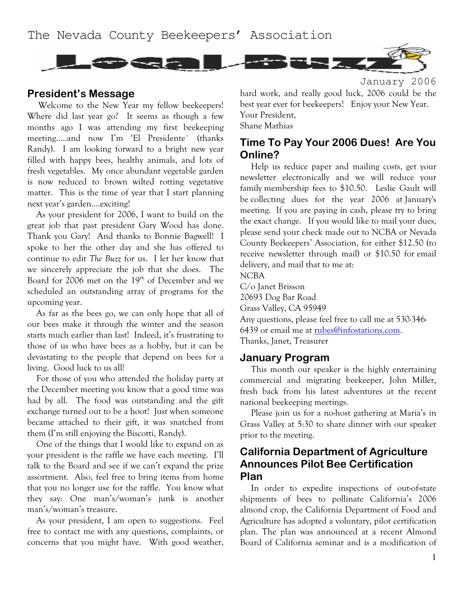

### **President's Message**

Welcome to the New Year my fellow beekeepers! Where did last year go? It seems as though a few months ago I was attending my first beekeeping meeting.....and now I'm 'El Presidente' (thanks Randy). I am looking forward to a bright new year filled with happy bees, healthy animals, and lots of fresh vegetables. My once abundant vegetable garden is now reduced to brown wilted rotting vegetative matter. This is the time of year that I start planning next year's garden....exciting!

As your president for 2006, I want to build on the great job that past president Gary Wood has done. Thank you Gary! And thanks to Bonnie Bagwell! I spoke to her the other day and she has offered to continue to edit The Buzz for us. I let her know that we sincerely appreciate the job that she does. The Board for 2006 met on the 19<sup>th</sup> of December and we scheduled an outstanding array of programs for the upcoming year.

As far as the bees go, we can only hope that all of our bees make it through the winter and the season starts much earlier than last! Indeed, it's frustrating to those of us who have bees as a hobby, but it can be devastating to the people that depend on bees for a living. Good luck to us all!

For those of you who attended the holiday party at the December meeting you know that a good time was had by all. The food was outstanding and the gift exchange turned out to be a hoot! Just when someone became attached to their gift, it was snatched from them (I'm still enjoying the Biscotti, Randy).

One of the things that I would like to expand on as your president is the raffle we have each meeting. I'll talk to the Board and see if we can't expand the prize assortment. Also, feel free to bring items from home that you no longer use for the raffle. You know what they say: One man's/woman's junk is another man's/woman's treasure.

As your president, I am open to suggestions. Feel free to contact me with any questions, complaints, or concerns that you might have. With good weather,

January 2006 hard work, and really good luck, 2006 could be the best year ever for beekeepers! Enjoy your New Year. Your President, Shane Mathias

# Time To Pay Your 2006 Dues! Are You Online?

Help us reduce paper and mailing costs, get your newsletter electronically and we will reduce your family membership fees to \$10.50. Leslie Gault will be collecting dues for the year 2006 at January's meeting. If you are paying in cash, please try to bring the exact change. If you would like to mail your dues, please send your check made out to NCBA or Nevada County Beekeepers' Association, for either \$12.50 (to receive newsletter through mail) or \$10.50 for email delivery, and mail that to me at: **NCBA** 

C/o Janet Brisson

20693 Dog Bar Road

Grass Valley, CA 95949

Any questions, please feel free to call me at 530-346-6439 or email me at rubes@infostations.com.

Thanks, Janet, Treasurer

### **January Program**

This month our speaker is the highly entertaining commercial and migrating beekeeper, John Miller, fresh back from his latest adventures at the recent national beekeeping meetings.

Please join us for a no-host gathering at Maria's in Grass Valley at 5:30 to share dinner with our speaker prior to the meeting.

### **California Department of Agriculture Announces Pilot Bee Certification** Plan

In order to expedite inspections of out-of-state shipments of bees to pollinate California's 2006 almond crop, the California Department of Food and Agriculture has adopted a voluntary, pilot certification plan. The plan was announced at a recent Almond Board of California seminar and is a modification of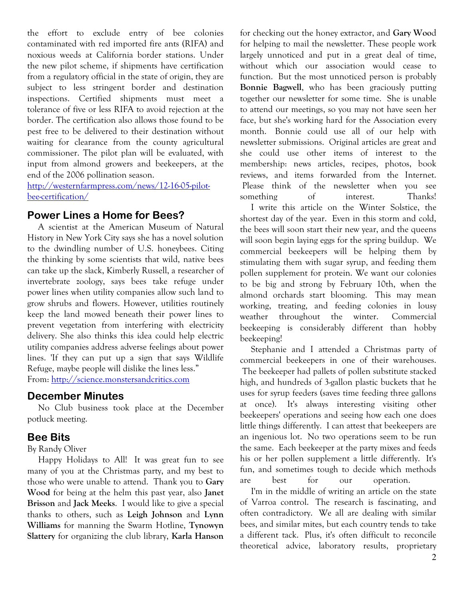the effort to exclude entry of bee colonies contaminated with red imported fire ants (RIFA) and noxious weeds at California border stations. Under the new pilot scheme, if shipments have certification from a regulatory official in the state of origin, they are subject to less stringent border and destination inspections. Certified shipments must meet a tolerance of five or less RIFA to avoid rejection at the border. The certification also allows those found to be pest free to be delivered to their destination without waiting for clearance from the county agricultural commissioner. The pilot plan will be evaluated, with input from almond growers and beekeepers, at the end of the 2006 pollination season.

http://westernfarmpress.com/news/12-16-05-pilotbee-certification/

### **Power Lines a Home for Bees?**

A scientist at the American Museum of Natural History in New York City says she has a novel solution to the dwindling number of U.S. honeybees. Citing the thinking by some scientists that wild, native bees can take up the slack, Kimberly Russell, a researcher of invertebrate zoology, says bees take refuge under power lines when utility companies allow such land to grow shrubs and flowers. However, utilities routinely keep the land mowed beneath their power lines to prevent vegetation from interfering with electricity delivery. She also thinks this idea could help electric utility companies address adverse feelings about power lines. If they can put up a sign that says Wildlife Refuge, maybe people will dislike the lines less." From: http://science.monstersandcritics.com

# **December Minutes**

No Club business took place at the December potluck meeting.

# **Bee Bits**

By Randy Oliver

Happy Holidays to All! It was great fun to see many of you at the Christmas party, and my best to those who were unable to attend. Thank you to Gary Wood for being at the helm this past year, also Janet Brisson and Jack Meeks. I would like to give a special thanks to others, such as Leigh Johnson and Lynn Williams for manning the Swarm Hotline, Tynowyn Slattery for organizing the club library, Karla Hanson for checking out the honey extractor, and Gary Wood for helping to mail the newsletter. These people work largely unnoticed and put in a great deal of time, without which our association would cease to function. But the most unnoticed person is probably Bonnie Bagwell, who has been graciously putting together our newsletter for some time. She is unable to attend our meetings, so you may not have seen her face, but she's working hard for the Association every month. Bonnie could use all of our help with newsletter submissions. Original articles are great and she could use other items of interest to the membership: news articles, recipes, photos, book reviews, and items forwarded from the Internet. Please think of the newsletter when you see of something interest. Thanks!

I write this article on the Winter Solstice, the shortest day of the year. Even in this storm and cold, the bees will soon start their new year, and the queens will soon begin laying eggs for the spring buildup. We commercial beekeepers will be helping them by stimulating them with sugar syrup, and feeding them pollen supplement for protein. We want our colonies to be big and strong by February 10th, when the almond orchards start blooming. This may mean working, treating, and feeding colonies in lousy throughout the winter. weather Commercial beekeeping is considerably different than hobby beekeeping!

Stephanie and I attended a Christmas party of commercial beekeepers in one of their warehouses. The beekeeper had pallets of pollen substitute stacked high, and hundreds of 3-gallon plastic buckets that he uses for syrup feeders (saves time feeding three gallons at once). It's always interesting visiting other beekeepers' operations and seeing how each one does little things differently. I can attest that beekeepers are an ingenious lot. No two operations seem to be run the same. Each beekeeper at the party mixes and feeds his or her pollen supplement a little differently. It's fun, and sometimes tough to decide which methods best  $for$  $_{\text{out}}$ operation. are

I'm in the middle of writing an article on the state of Varroa control. The research is fascinating, and often contradictory. We all are dealing with similar bees, and similar mites, but each country tends to take a different tack. Plus, it's often difficult to reconcile theoretical advice, laboratory results, proprietary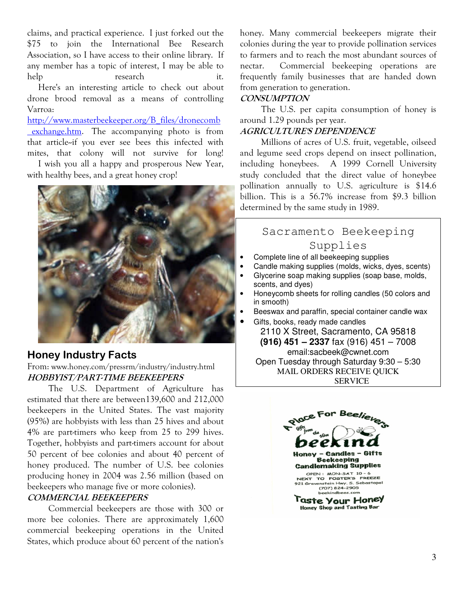claims, and practical experience. I just forked out the \$75 to join the International Bee Research Association, so I have access to their online library. If any member has a topic of interest, I may be able to help research it.

Here's an interesting article to check out about drone brood removal as a means of controlling Varroa:

http://www.masterbeekeeper.org/B files/dronecomb exchange.htm. The accompanying photo is from that article-if you ever see bees this infected with mites, that colony will not survive for long!

I wish you all a happy and prosperous New Year, with healthy bees, and a great honey crop!



# **Honey Industry Facts**

From: www.honey.com/pressrm/industry/industry.html HOBBYIST/PART-TIME BEEKEEPERS

The U.S. Department of Agriculture has estimated that there are between 139,600 and 212,000 beekeepers in the United States. The vast majority  $(95%)$  are hobbyists with less than 25 hives and about 4% are part-timers who keep from 25 to 299 hives. Together, hobbyists and part-timers account for about 50 percent of bee colonies and about 40 percent of honey produced. The number of U.S. bee colonies producing honey in 2004 was 2.56 million (based on beekeepers who manage five or more colonies).

#### COMMERCIAL BEEKEEPERS

Commercial beekeepers are those with 300 or more bee colonies. There are approximately 1,600 commercial beekeeping operations in the United States, which produce about 60 percent of the nation's

honey. Many commercial beekeepers migrate their colonies during the year to provide pollination services to farmers and to reach the most abundant sources of nectar. Commercial beekeeping operations are frequently family businesses that are handed down from generation to generation.

### CONSUMPTION

The U.S. per capita consumption of honey is around 1.29 pounds per year.

### AGRICULTURE'S DEPENDENCE

Millions of acres of U.S. fruit, vegetable, oilseed and legume seed crops depend on insect pollination, including honeybees. A 1999 Cornell University study concluded that the direct value of honeybee pollination annually to U.S. agriculture is \$14.6 billion. This is a  $56.7\%$  increase from \$9.3 billion determined by the same study in 1989.

# Sacramento Beekeeping Supplies

- Complete line of all beekeeping supplies
- Candle making supplies (molds, wicks, dyes, scents)
- Glycerine soap making supplies (soap base, molds, scents, and dyes)
- Honeycomb sheets for rolling candles (50 colors and in smooth)
- Beeswax and paraffin, special container candle wax
- Gifts, books, ready made candles

2110 X Street, Sacramento, CA 95818 **(916) 451 – 2337** fax (916) 451 – 7008 email:sacbeek@cwnet.com Open Tuesday through Saturday 9:30 – 5:30 MAIL ORDERS RECEIVE QUICK SERVICE